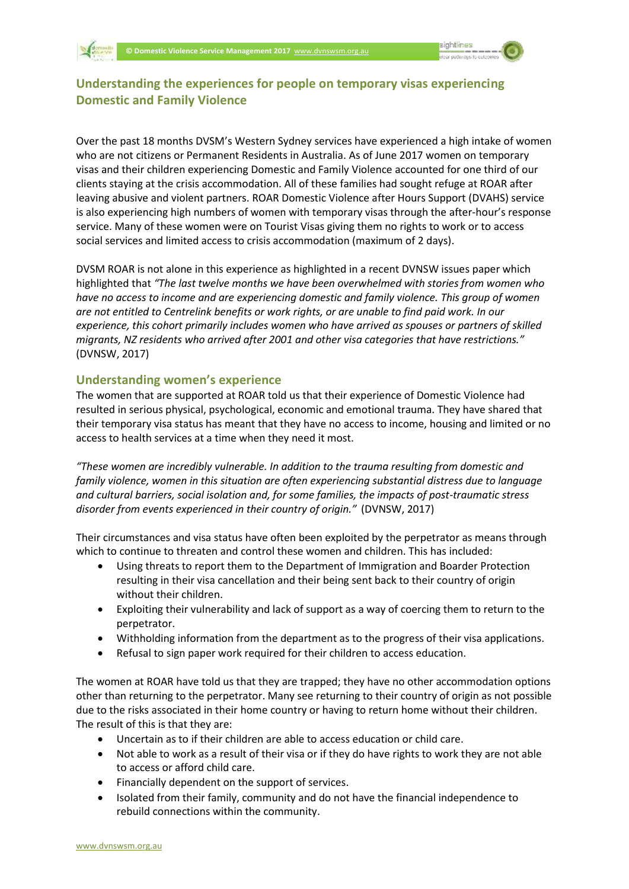# **Understanding the experiences for people on temporary visas experiencing Domestic and Family Violence**

Over the past 18 months DVSM's Western Sydney services have experienced a high intake of women who are not citizens or Permanent Residents in Australia. As of June 2017 women on temporary visas and their children experiencing Domestic and Family Violence accounted for one third of our clients staying at the crisis accommodation. All of these families had sought refuge at ROAR after leaving abusive and violent partners. ROAR Domestic Violence after Hours Support (DVAHS) service is also experiencing high numbers of women with temporary visas through the after-hour's response service. Many of these women were on Tourist Visas giving them no rights to work or to access social services and limited access to crisis accommodation (maximum of 2 days).

DVSM ROAR is not alone in this experience as highlighted in a recent DVNSW issues paper which highlighted that *"The last twelve months we have been overwhelmed with stories from women who have no access to income and are experiencing domestic and family violence. This group of women are not entitled to Centrelink benefits or work rights, or are unable to find paid work. In our experience, this cohort primarily includes women who have arrived as spouses or partners of skilled migrants, NZ residents who arrived after 2001 and other visa categories that have restrictions."* (DVNSW, 2017)

## **Understanding women's experience**

The women that are supported at ROAR told us that their experience of Domestic Violence had resulted in serious physical, psychological, economic and emotional trauma. They have shared that their temporary visa status has meant that they have no access to income, housing and limited or no access to health services at a time when they need it most.

*"These women are incredibly vulnerable. In addition to the trauma resulting from domestic and family violence, women in this situation are often experiencing substantial distress due to language and cultural barriers, social isolation and, for some families, the impacts of post-traumatic stress disorder from events experienced in their country of origin."* (DVNSW, 2017)

Their circumstances and visa status have often been exploited by the perpetrator as means through which to continue to threaten and control these women and children. This has included:

- Using threats to report them to the Department of Immigration and Boarder Protection resulting in their visa cancellation and their being sent back to their country of origin without their children.
- Exploiting their vulnerability and lack of support as a way of coercing them to return to the perpetrator.
- Withholding information from the department as to the progress of their visa applications.
- Refusal to sign paper work required for their children to access education.

The women at ROAR have told us that they are trapped; they have no other accommodation options other than returning to the perpetrator. Many see returning to their country of origin as not possible due to the risks associated in their home country or having to return home without their children. The result of this is that they are:

- Uncertain as to if their children are able to access education or child care.
- Not able to work as a result of their visa or if they do have rights to work they are not able to access or afford child care.
- Financially dependent on the support of services.
- Isolated from their family, community and do not have the financial independence to rebuild connections within the community.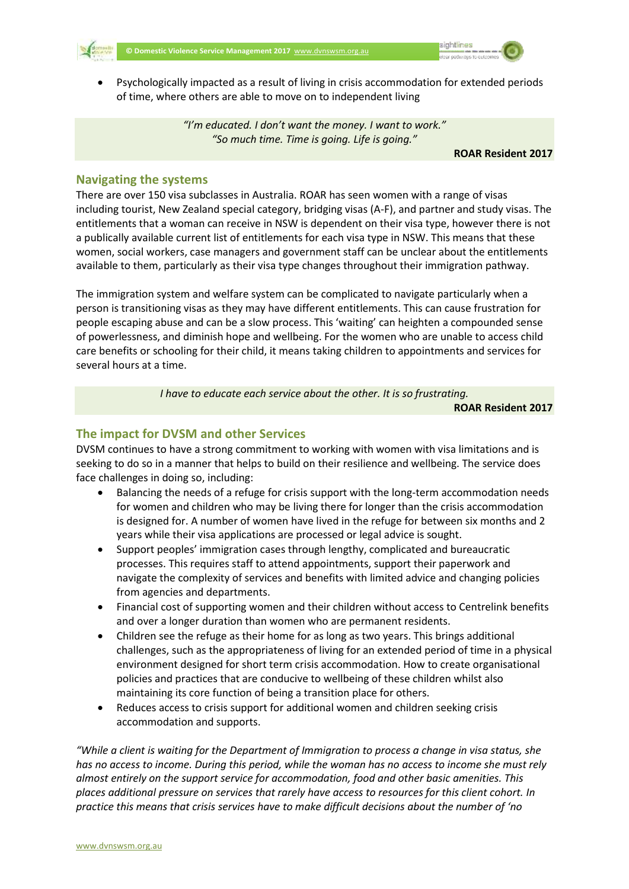



 Psychologically impacted as a result of living in crisis accommodation for extended periods of time, where others are able to move on to independent living

> *"I'm educated. I don't want the money. I want to work." "So much time. Time is going. Life is going."*

> > **ROAR Resident 2017**

## **Navigating the systems**

There are over 150 visa subclasses in Australia. ROAR has seen women with a range of visas including tourist, New Zealand special category, bridging visas (A-F), and partner and study visas. The entitlements that a woman can receive in NSW is dependent on their visa type, however there is not a publically available current list of entitlements for each visa type in NSW. This means that these women, social workers, case managers and government staff can be unclear about the entitlements available to them, particularly as their visa type changes throughout their immigration pathway.

The immigration system and welfare system can be complicated to navigate particularly when a person is transitioning visas as they may have different entitlements. This can cause frustration for people escaping abuse and can be a slow process. This 'waiting' can heighten a compounded sense of powerlessness, and diminish hope and wellbeing. For the women who are unable to access child care benefits or schooling for their child, it means taking children to appointments and services for several hours at a time.

*I have to educate each service about the other. It is so frustrating.*

**ROAR Resident 2017**

# **The impact for DVSM and other Services**

DVSM continues to have a strong commitment to working with women with visa limitations and is seeking to do so in a manner that helps to build on their resilience and wellbeing. The service does face challenges in doing so, including:

- Balancing the needs of a refuge for crisis support with the long-term accommodation needs for women and children who may be living there for longer than the crisis accommodation is designed for. A number of women have lived in the refuge for between six months and 2 years while their visa applications are processed or legal advice is sought.
- Support peoples' immigration cases through lengthy, complicated and bureaucratic processes. This requires staff to attend appointments, support their paperwork and navigate the complexity of services and benefits with limited advice and changing policies from agencies and departments.
- Financial cost of supporting women and their children without access to Centrelink benefits and over a longer duration than women who are permanent residents.
- Children see the refuge as their home for as long as two years. This brings additional challenges, such as the appropriateness of living for an extended period of time in a physical environment designed for short term crisis accommodation. How to create organisational policies and practices that are conducive to wellbeing of these children whilst also maintaining its core function of being a transition place for others.
- Reduces access to crisis support for additional women and children seeking crisis accommodation and supports.

*"While a client is waiting for the Department of Immigration to process a change in visa status, she has no access to income. During this period, while the woman has no access to income she must rely almost entirely on the support service for accommodation, food and other basic amenities. This places additional pressure on services that rarely have access to resources for this client cohort. In practice this means that crisis services have to make difficult decisions about the number of 'no*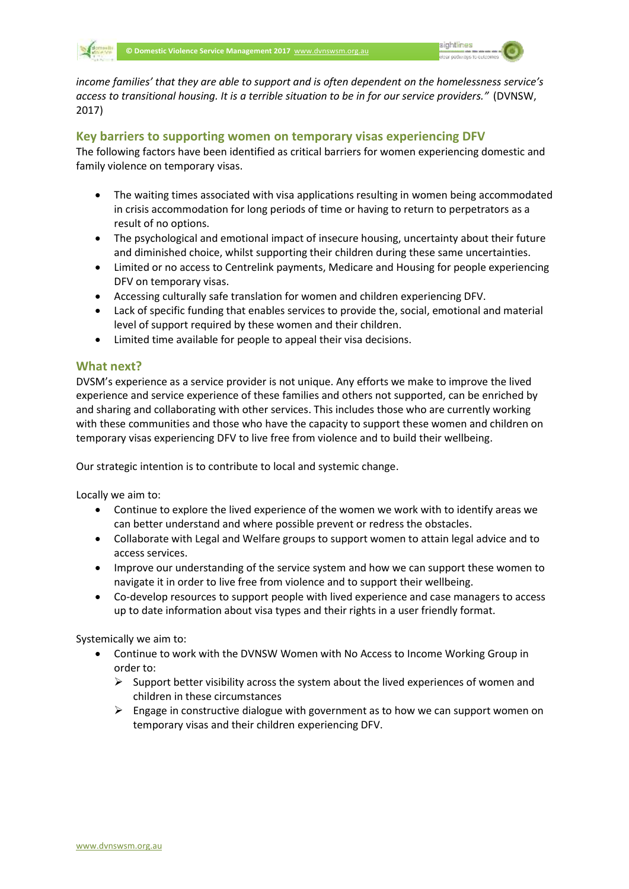

*income families' that they are able to support and is often dependent on the homelessness service's access to transitional housing. It is a terrible situation to be in for our service providers."* (DVNSW, 2017)

### **Key barriers to supporting women on temporary visas experiencing DFV**

The following factors have been identified as critical barriers for women experiencing domestic and family violence on temporary visas.

- The waiting times associated with visa applications resulting in women being accommodated in crisis accommodation for long periods of time or having to return to perpetrators as a result of no options.
- The psychological and emotional impact of insecure housing, uncertainty about their future and diminished choice, whilst supporting their children during these same uncertainties.
- Limited or no access to Centrelink payments, Medicare and Housing for people experiencing DFV on temporary visas.
- Accessing culturally safe translation for women and children experiencing DFV.
- Lack of specific funding that enables services to provide the, social, emotional and material level of support required by these women and their children.
- Limited time available for people to appeal their visa decisions.

## **What next?**

DVSM's experience as a service provider is not unique. Any efforts we make to improve the lived experience and service experience of these families and others not supported, can be enriched by and sharing and collaborating with other services. This includes those who are currently working with these communities and those who have the capacity to support these women and children on temporary visas experiencing DFV to live free from violence and to build their wellbeing.

Our strategic intention is to contribute to local and systemic change.

Locally we aim to:

- Continue to explore the lived experience of the women we work with to identify areas we can better understand and where possible prevent or redress the obstacles.
- Collaborate with Legal and Welfare groups to support women to attain legal advice and to access services.
- Improve our understanding of the service system and how we can support these women to navigate it in order to live free from violence and to support their wellbeing.
- Co-develop resources to support people with lived experience and case managers to access up to date information about visa types and their rights in a user friendly format.

Systemically we aim to:

- Continue to work with the DVNSW Women with No Access to Income Working Group in order to:
	- $\triangleright$  Support better visibility across the system about the lived experiences of women and children in these circumstances
	- $\triangleright$  Engage in constructive dialogue with government as to how we can support women on temporary visas and their children experiencing DFV.